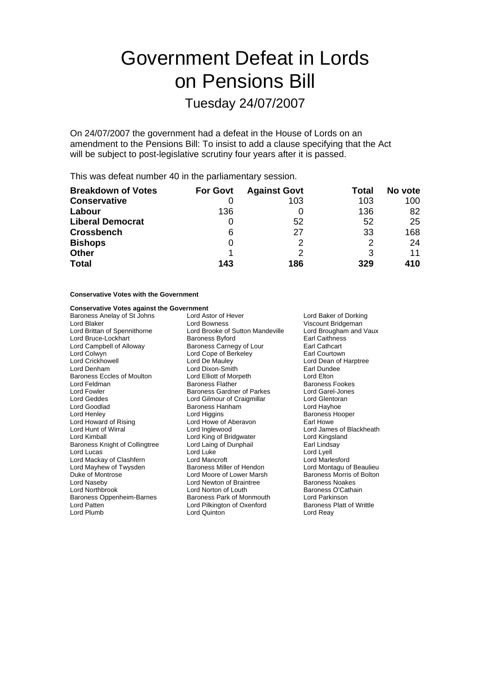# Government Defeat in Lords on Pensions Bill

## Tuesday 24/07/2007

On 24/07/2007 the government had a defeat in the House of Lords on an amendment to the Pensions Bill: To insist to add a clause specifying that the Act will be subject to post-legislative scrutiny four years after it is passed.

This was defeat number 40 in the parliamentary session.

| <b>Breakdown of Votes</b> | <b>For Govt</b> | <b>Against Govt</b> | Total | No vote |
|---------------------------|-----------------|---------------------|-------|---------|
| <b>Conservative</b>       |                 | 103                 | 103   | 100     |
| Labour                    | 136             |                     | 136   | 82      |
| <b>Liberal Democrat</b>   |                 | 52                  | 52    | 25      |
| <b>Crossbench</b>         | 6               | 27                  | 33    | 168     |
| <b>Bishops</b>            | 0               | າ                   | 2     | 24      |
| <b>Other</b>              |                 |                     |       | 11      |
| <b>Total</b>              | 143             | 186                 | 329   | 410     |

#### **Conservative Votes with the Government**

#### **Conservative Votes against the Government**

| Lord Astor of Hever<br>Lord Baker of Dorking |                                  |
|----------------------------------------------|----------------------------------|
| Lord Bowness                                 | Viscount Bridgeman               |
| Lord Brooke of Sutton Mandeville             | Lord Brougham and Vaux           |
| <b>Baroness Byford</b>                       | <b>Earl Caithness</b>            |
| Baroness Carnegy of Lour                     | Earl Cathcart                    |
| Lord Cope of Berkeley                        | Earl Courtown                    |
| Lord De Mauley                               | Lord Dean of Harptree            |
| Lord Dixon-Smith                             | Earl Dundee                      |
| Lord Elliott of Morpeth                      | Lord Elton                       |
| <b>Baroness Flather</b>                      | Baroness Fookes                  |
| Baroness Gardner of Parkes                   | Lord Garel-Jones                 |
| Lord Gilmour of Craigmillar                  | Lord Glentoran                   |
| Baroness Hanham                              | Lord Hayhoe                      |
| Lord Higgins                                 | Baroness Hooper                  |
| Lord Howe of Aberavon                        | Earl Howe                        |
| Lord Inglewood                               | Lord James of Blackheath         |
| Lord King of Bridgwater                      | Lord Kingsland                   |
| Lord Laing of Dunphail                       | Earl Lindsay                     |
| Lord Luke                                    | Lord Lyell                       |
| Lord Mancroft                                | Lord Marlesford                  |
| Baroness Miller of Hendon                    | Lord Montagu of Beaulieu         |
| Lord Moore of Lower Marsh                    | Baroness Morris of Bolton        |
| Lord Newton of Braintree                     | <b>Baroness Noakes</b>           |
| Lord Norton of Louth                         | Baroness O'Cathain               |
| Baroness Park of Monmouth                    | Lord Parkinson                   |
| Lord Pilkington of Oxenford                  | <b>Baroness Platt of Writtle</b> |
| Lord Quinton                                 | Lord Reay                        |
|                                              |                                  |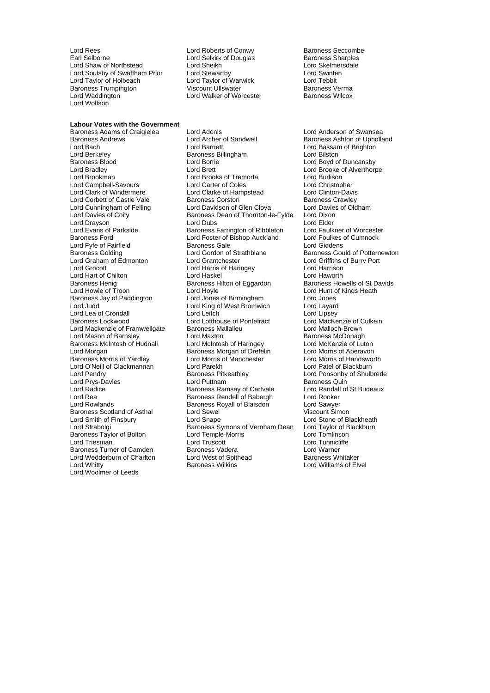Lord Rees Lord Roberts of Conwy Baroness Seccombe Lord Shaw of Northstead Lord Sheikh Lord Skelmer<br>
Lord Soulsby of Swaffham Prior Lord Stewartby Lord Stell Lord Swinfen Lord Soulsby of Swaffham Prior Lord Stewartby Lord Swinfend Cord Swinfeld Cord Taylor of Warwick Lord Tebbit Lord Taylor of Holbeach Lord Taylor of Warwick Lord Tebbit Baroness Trumpington **Martia Chemical Viscount Ullswater Chemical Chemical Chemical Chemical Chemical Chemical**<br>Baroness Wilcox Lord Walker of Worcester **Baroness Wilcox** Lord Wolfson

**Labour Votes with the Government**

Lord Selkirk of Douglas Baroness Sharples<br>
Lord Sheikh Baroness Analysis Lord Walker of Worcester

Lord Berkeley **Baroness Billingham**<br>Baroness Blood **Billingham** Lord Borrie Lord Fyfe of Fairfield **Baroness Gale**<br>
Baroness Golding **Baroness Colding**<br>
Lord Gordon of Strathblane Lord Mason of Barnsley Baroness Morris of Yardley Baroness Scotland of Asthal Lord Sewel<br>
Lord Smith of Finsbury Lord Snape Lord Triesman Lord Truscott Lord Wedderburn of Charlton Lord West of Spithead Baroness Wilkins Lord Woolmer of Leeds

Baroness Adams of Craigielea Lord Adonis Lord Anderson of Swansea Lord Bach **Lord Barnett** Lord Barnett Lord Bassam of Brighton<br>
Lord Berkeley **Contains Barnett** Baroness Billingham **Contains Lord Bilston** Baroness Blood **Example 2** Lord Borrie **Lord Borrie Contract Contract Lord Boyd of Duncansby<br>
Lord Brett Lord Borrie Lord Borrie Lord Brooke of Alverthorr** Lord Bradley Lord Brett Lord Brooke of Alverthorpe Lord Brooks of Tremorfa<br>
Lord Carter of Coles
Lord Christopher Lord Campbell-Savours Lord Carter of Coles Lord Christopher Lord Clarke of Hampstead Lord Clinton-Davis<br>Baroness Corston Baroness Crawley Lord Corbett of Castle Vale **Baroness Corston**<br>
Lord Corbett of Castle Vale **Baroness Corston**<br>
Lord Cunningham of Felling Lord Davidson of Glen Clova Lord Davies of Oldham Lord Cunningham of Felling Lord Davidson of Glen Clova Lord Davies<br>Lord Davies of Coity **Constant Cloudy Baroness Dean of Thornton-le-Fylde** Lord Dixon Baroness Dean of Thornton-le-Fylde Lord Dixon<br>Lord Dubs Lord Flder Lord Drayson **Lord Dubs** Lord Dubs **Lord Elder**<br>
Lord Evans of Parkside **Lord Baroness Farrington of Ribbleton** Lord Faulkner of Worcester Lord Evans of Parkside **Baroness Farrington of Ribbleton** Lord Faulkner of Worcester Corporation Corporation Corporation Baroness Farrington of Ribbleton Lord Foulkes of Cumnock Lord Foster of Bishop Auckland Lord Foulkes<br>Baroness Gale Lord Giddens Lord Graham of Edmonton Lord Grantchester Lord Griffiths of Burry Port Lord Harris of Haringey<br>
Lord Haskel<br>
Lord Haworth Lord Hart of Chilton **Lord Haskel** Lord Haskel **Lord Haworth**<br>
Baroness Henig **Baroness** Hilton of Eggardon Baroness Howells of St Davids Baroness Hilton of Eggardon Lord Howie of Troon Lord Hoyle Lord House Lord Hunt of Kings Heath<br>
Baroness Jay of Paddington Lord Jones of Birmingham Lord Jones Baroness Jay of Paddington Lord Jones of Birmingham Lord Jones<br>
Lord Judd Lord Layard Lord King of West Bromwich Lord Layard Lord King of West Bromwich Lord Lea of Crondall **Lord Leange Conduct Cord Lord Lord Lord** Lord Lipsey<br>
Lord Lord Lord Lord Lord Lofthouse of Pontefract Lord MacKenzie of Culkein Lord Lofthouse of Pontefract Lord MacKenzie of Culter<br>Baroness Mallalieu<br>Lord Malloch-Brown Lord Mackenzie of Framwellgate Baroness Mallalieu Lord Malloch-Brown Baroness McIntosh of Hudnall Lord McIntosh of Haringey Lord McKenzie of Luton<br>Lord Morgan Lord Morris of Aberavon Baroness Morgan of Drefelin Lord Morris of Aberavon<br>Lord Morris of Manchester Lord Morris of Handsworth Lord O'Neill of Clackmannan Lord Parekh Lord Patel of Blackburn Baroness Pitkeathley **Baroness Pitkeathley** Lord Ponsonby of Shulbrede<br>
Lord Puttnam<br>
Baroness Quin Lord Prys-Davies **Lord Puttnam Community Community**<br>
Lord Radice **Community Communisy Communisy Communisy Communisy Communisy Communisy Communisy Communisy Communis**<br>
Lord Radice **Communisy Communisy Communisy Communisy Co** Baroness Ramsay of Cartvale Lord Rea Baroness Rendell of Babergh Lord Rooker<br>
Lord Rowlands Communication Baroness Royall of Blaisdon Lord Sawyer **Baroness Royall of Blaisdon Lord Sawyer<br>Lord Sewel Lord Sawyer Lord Sawyer** Lord Smith of Finsbury Lord Snape Cord Snape Lord Stone of Blackheath<br>Lord Strabolgi Cord Strabolgi Baroness Symons of Vernham Dean Lord Taylor of Blackburn Exaroness Symons of Vernham Dean Lord Taylor of B<br>Lord Temple-Morris Lord Tomlinson Baroness Taylor of Bolton Lord Temple-Morris Lord Tomlinson Baroness Turner of Camden Baroness Vadera Lord Warner Lord Warner<br>Lord Wedderburn of Charlton Lord West of Spithead Baroness Whitaker

Baroness Ashton of Upholland Baroness Gould of Potternewton Lord Williams of Elvel